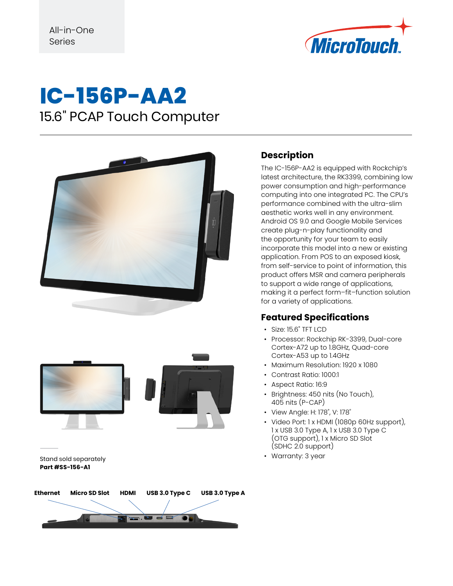

### **IC-156P-AA2** 15.6" PCAP Touch Computer





Stand sold separately **Part #SS-156-A1**

# **Ethernet Micro SD Slot HDMI USB 3.0 Type C USB 3.0 Type A**

#### **Description**

The IC-156P-AA2 is equipped with Rockchip's latest architecture, the RK3399, combining low power consumption and high-performance computing into one integrated PC. The CPU's performance combined with the ultra-slim aesthetic works well in any environment. Android OS 9.0 and Google Mobile Services create plug-n-play functionality and the opportunity for your team to easily incorporate this model into a new or existing application. From POS to an exposed kiosk, from self-service to point of information, this product offers MSR and camera peripherals to support a wide range of applications, making it a perfect form–fit–function solution for a variety of applications.

#### **Featured Specifications**

- Size: 15.6" TFT LCD
- Processor: Rockchip RK-3399, Dual-core Cortex-A72 up to 1.8GHz, Quad-core Cortex-A53 up to 1.4GHz
- Maximum Resolution: 1920 x 1080
- Contrast Ratio: 1000:1
- Aspect Ratio: 16:9
- Brightness: 450 nits (No Touch), 405 nits (P-CAP)
- View Angle: H: 178˚, V: 178˚
- Video Port: 1 x HDMI (1080p 60Hz support), 1 x USB 3.0 Type A, 1 x USB 3.0 Type C (OTG support), 1 x Micro SD Slot (SDHC 2.0 support)
- Warranty: 3 year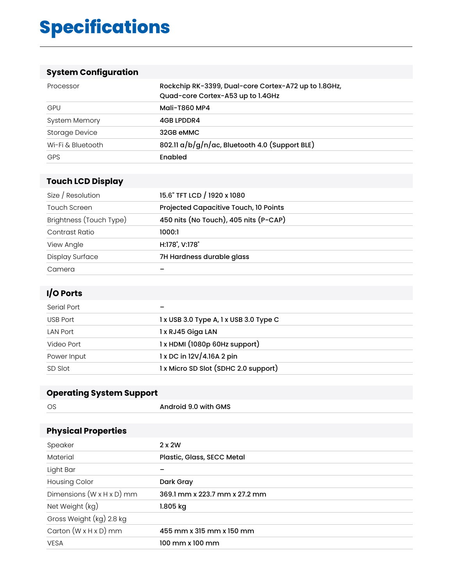## **Specifications**

#### **System Configuration**

| Processor             | Rockchip RK-3399, Dual-core Cortex-A72 up to 1.8GHz,<br>Quad-core Cortex-A53 up to 1.4GHz |
|-----------------------|-------------------------------------------------------------------------------------------|
| GPU                   | Mali-T860 MP4                                                                             |
| <b>System Memory</b>  | 4GB LPDDR4                                                                                |
| <b>Storage Device</b> | 32GB eMMC                                                                                 |
| Wi-Fi & Bluetooth     | 802.11 a/b/g/n/ac, Bluetooth 4.0 (Support BLE)                                            |
| <b>GPS</b>            | Enabled                                                                                   |

#### **Touch LCD Display**

| Size / Resolution       | 15.6" TFT LCD / 1920 x 1080           |
|-------------------------|---------------------------------------|
| <b>Touch Screen</b>     | Projected Capacitive Touch, 10 Points |
| Brightness (Touch Type) | 450 nits (No Touch), 405 nits (P-CAP) |
| Contrast Ratio          | 1000:1                                |
| View Angle              | H:178°, V:178°                        |
| Display Surface         | 7H Hardness durable glass             |
| Camera                  |                                       |

#### **I/O Ports**

| Serial Port     |                                        |
|-----------------|----------------------------------------|
| USB Port        | 1 x USB 3.0 Type A, 1 x USB 3.0 Type C |
| <b>LAN Port</b> | 1 x RJ45 Giga LAN                      |
| Video Port      | 1 x HDMI (1080p 60Hz support)          |
| Power Input     | 1 x DC in 12V/4.16A 2 pin              |
| SD Slot         | 1 x Micro SD Slot (SDHC 2.0 support)   |

#### **Operating System Support**

| <b>OS</b>                             | Android 9.0 with GMS          |
|---------------------------------------|-------------------------------|
|                                       |                               |
| <b>Physical Properties</b>            |                               |
| Speaker                               | $2 \times 2W$                 |
| Material                              | Plastic, Glass, SECC Metal    |
| Light Bar                             |                               |
| Housing Color                         | Dark Gray                     |
| Dimensions $(W \times H \times D)$ mm | 369.1 mm x 223.7 mm x 27.2 mm |
| Net Weight (kg)                       | $1.805$ kg                    |
| Gross Weight (kg) 2.8 kg              |                               |
| Carton $(W \times H \times D)$ mm     | 455 mm x 315 mm x 150 mm      |
| <b>VESA</b>                           | 100 mm x 100 mm               |
|                                       |                               |